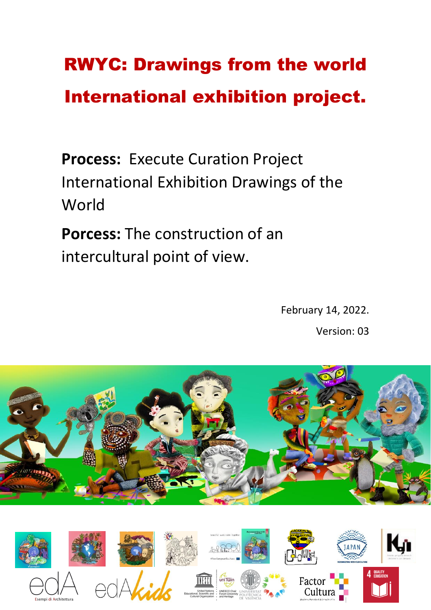# RWYC: Drawings from the world International exhibition project.

**Process:** Execute Curation Project International Exhibition Drawings of the World

**Porcess:** The construction of an intercultural point of view.

> February 14, 2022. Version: 03



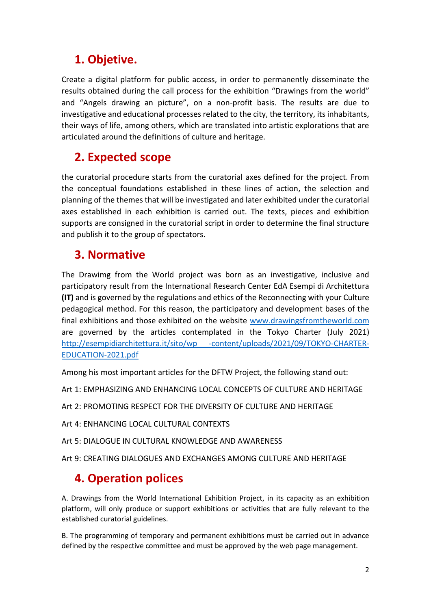#### **1. Objetive.**

Create a digital platform for public access, in order to permanently disseminate the results obtained during the call process for the exhibition "Drawings from the world" and "Angels drawing an picture", on a non-profit basis. The results are due to investigative and educational processes related to the city, the territory, its inhabitants, their ways of life, among others, which are translated into artistic explorations that are articulated around the definitions of culture and heritage.

#### **2. Expected scope**

the curatorial procedure starts from the curatorial axes defined for the project. From the conceptual foundations established in these lines of action, the selection and planning of the themes that will be investigated and later exhibited under the curatorial axes established in each exhibition is carried out. The texts, pieces and exhibition supports are consigned in the curatorial script in order to determine the final structure and publish it to the group of spectators.

#### **3. Normative**

The Drawimg from the World project was born as an investigative, inclusive and participatory result from the International Research Center EdA Esempi di Architettura **(IT)** and is governed by the regulations and ethics of the Reconnecting with your Culture pedagogical method. For this reason, the participatory and development bases of the final exhibitions and those exhibited on the website [www.drawingsfromtheworld.com](http://www.drawingsfromtheworld.com/) are governed by the articles contemplated in the Tokyo Charter (July 2021) [http://esempidiarchitettura.it/sito/wp -content/uploads/2021/09/TOKYO-CHARTER-](http://esempidiarchitettura.it/sito/wp%20-content/uploads/2021/09/TOKYO-CHARTER-EDUCATION-2021.pdf)[EDUCATION-2021.pdf](http://esempidiarchitettura.it/sito/wp%20-content/uploads/2021/09/TOKYO-CHARTER-EDUCATION-2021.pdf)

Among his most important articles for the DFTW Project, the following stand out:

Art 1: EMPHASIZING AND ENHANCING LOCAL CONCEPTS OF CULTURE AND HERITAGE

Art 2: PROMOTING RESPECT FOR THE DIVERSITY OF CULTURE AND HERITAGE

Art 4: ENHANCING LOCAL CULTURAL CONTEXTS

Art 5: DIALOGUE IN CULTURAL KNOWLEDGE AND AWARENESS

Art 9: CREATING DIALOGUES AND EXCHANGES AMONG CULTURE AND HERITAGE

#### **4. Operation polices**

A. Drawings from the World International Exhibition Project, in its capacity as an exhibition platform, will only produce or support exhibitions or activities that are fully relevant to the established curatorial guidelines.

B. The programming of temporary and permanent exhibitions must be carried out in advance defined by the respective committee and must be approved by the web page management.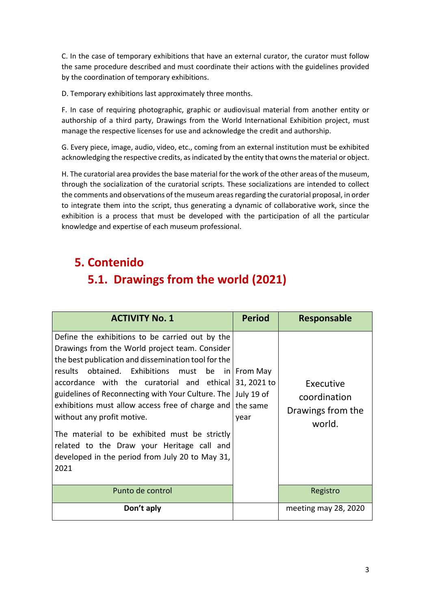C. In the case of temporary exhibitions that have an external curator, the curator must follow the same procedure described and must coordinate their actions with the guidelines provided by the coordination of temporary exhibitions.

D. Temporary exhibitions last approximately three months.

F. In case of requiring photographic, graphic or audiovisual material from another entity or authorship of a third party, Drawings from the World International Exhibition project, must manage the respective licenses for use and acknowledge the credit and authorship.

G. Every piece, image, audio, video, etc., coming from an external institution must be exhibited acknowledging the respective credits, as indicated by the entity that owns the material or object.

H. The curatorial area provides the base material for the work of the other areas of the museum, through the socialization of the curatorial scripts. These socializations are intended to collect the comments and observations of the museum areas regarding the curatorial proposal, in order to integrate them into the script, thus generating a dynamic of collaborative work, since the exhibition is a process that must be developed with the participation of all the particular knowledge and expertise of each museum professional.

## **5. Contenido 5.1. Drawings from the world (2021)**

| <b>ACTIVITY No. 1</b>                                                                                                                                                                                                                                                                                                                                                                                                                                                                                                                         | <b>Period</b>                                                       | <b>Responsable</b>                                       |
|-----------------------------------------------------------------------------------------------------------------------------------------------------------------------------------------------------------------------------------------------------------------------------------------------------------------------------------------------------------------------------------------------------------------------------------------------------------------------------------------------------------------------------------------------|---------------------------------------------------------------------|----------------------------------------------------------|
| Define the exhibitions to be carried out by the<br>Drawings from the World project team. Consider<br>the best publication and dissemination tool for the<br>results obtained. Exhibitions must<br>accordance with the curatorial and ethical<br>guidelines of Reconnecting with Your Culture. The<br>exhibitions must allow access free of charge and<br>without any profit motive.<br>The material to be exhibited must be strictly<br>related to the Draw your Heritage call and<br>developed in the period from July 20 to May 31,<br>2021 | be $in$   From May<br>31, 2021 to<br>July 19 of<br>the same<br>year | Executive<br>coordination<br>Drawings from the<br>world. |
| Punto de control                                                                                                                                                                                                                                                                                                                                                                                                                                                                                                                              |                                                                     | Registro                                                 |
| Don't aply                                                                                                                                                                                                                                                                                                                                                                                                                                                                                                                                    |                                                                     | meeting may 28, 2020                                     |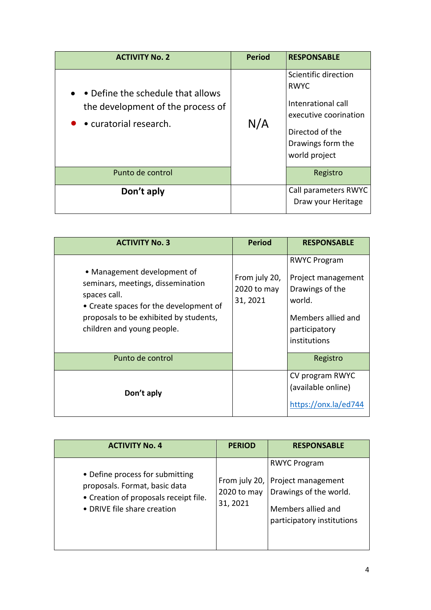| <b>ACTIVITY No. 2</b>                                                                                                | <b>Period</b> | <b>RESPONSABLE</b>                                                                                                                          |
|----------------------------------------------------------------------------------------------------------------------|---------------|---------------------------------------------------------------------------------------------------------------------------------------------|
| • • Define the schedule that allows<br>the development of the process of<br>$\bullet$ $\bullet$ curatorial research. | N/A           | Scientific direction<br><b>RWYC</b><br>Intenrational call<br>executive coorination<br>Directod of the<br>Drawings form the<br>world project |
| Punto de control                                                                                                     |               | Registro                                                                                                                                    |
| Don't aply                                                                                                           |               | Call parameters RWYC<br>Draw your Heritage                                                                                                  |

| <b>ACTIVITY No. 3</b>                                                                                                                                                                              | <b>Period</b>                            | <b>RESPONSABLE</b>                                                                                                            |
|----------------------------------------------------------------------------------------------------------------------------------------------------------------------------------------------------|------------------------------------------|-------------------------------------------------------------------------------------------------------------------------------|
| • Management development of<br>seminars, meetings, dissemination<br>spaces call.<br>• Create spaces for the development of<br>proposals to be exhibited by students,<br>children and young people. | From july 20,<br>2020 to may<br>31, 2021 | <b>RWYC Program</b><br>Project management<br>Drawings of the<br>world.<br>Members allied and<br>participatory<br>institutions |
| Punto de control                                                                                                                                                                                   |                                          | Registro                                                                                                                      |
| Don't aply                                                                                                                                                                                         |                                          | CV program RWYC<br>(available online)<br>https://onx.la/ed744                                                                 |

| <b>ACTIVITY No. 4</b>                                                                                                                    | <b>PERIOD</b>                            | <b>RESPONSABLE</b>                                                                                                      |
|------------------------------------------------------------------------------------------------------------------------------------------|------------------------------------------|-------------------------------------------------------------------------------------------------------------------------|
| • Define process for submitting<br>proposals. Format, basic data<br>• Creation of proposals receipt file.<br>• DRIVE file share creation | From july 20,<br>2020 to may<br>31, 2021 | <b>RWYC Program</b><br>Project management<br>Drawings of the world.<br>Members allied and<br>participatory institutions |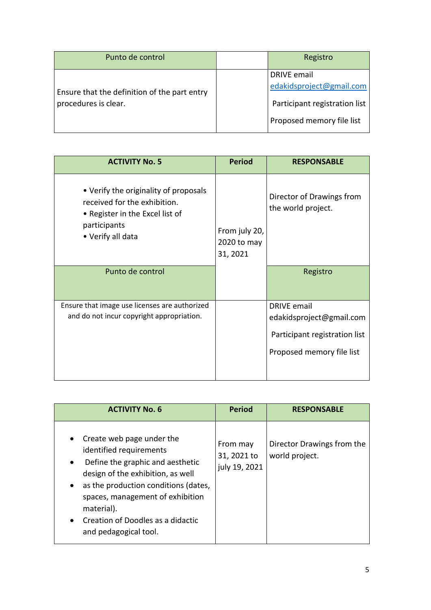| Punto de control                                                     |  | Registro                      |
|----------------------------------------------------------------------|--|-------------------------------|
|                                                                      |  | <b>DRIVE</b> email            |
| Ensure that the definition of the part entry<br>procedures is clear. |  | edakidsproject@gmail.com      |
|                                                                      |  | Participant registration list |
|                                                                      |  | Proposed memory file list     |

| <b>ACTIVITY No. 5</b>                                                                                                                         | <b>Period</b>                            | <b>RESPONSABLE</b>                                                                                           |
|-----------------------------------------------------------------------------------------------------------------------------------------------|------------------------------------------|--------------------------------------------------------------------------------------------------------------|
| • Verify the originality of proposals<br>received for the exhibition.<br>• Register in the Excel list of<br>participants<br>• Verify all data | From july 20,<br>2020 to may<br>31, 2021 | Director of Drawings from<br>the world project.                                                              |
| Punto de control                                                                                                                              |                                          | Registro                                                                                                     |
| Ensure that image use licenses are authorized<br>and do not incur copyright appropriation.                                                    |                                          | <b>DRIVE</b> email<br>edakidsproject@gmail.com<br>Participant registration list<br>Proposed memory file list |

| <b>ACTIVITY No. 6</b>                                                                                                                                                                                                                                                                                                        | <b>Period</b>                            | <b>RESPONSABLE</b>                           |
|------------------------------------------------------------------------------------------------------------------------------------------------------------------------------------------------------------------------------------------------------------------------------------------------------------------------------|------------------------------------------|----------------------------------------------|
| Create web page under the<br>$\bullet$<br>identified requirements<br>Define the graphic and aesthetic<br>$\bullet$<br>design of the exhibition, as well<br>as the production conditions (dates,<br>spaces, management of exhibition<br>material).<br>Creation of Doodles as a didactic<br>$\bullet$<br>and pedagogical tool. | From may<br>31, 2021 to<br>july 19, 2021 | Director Drawings from the<br>world project. |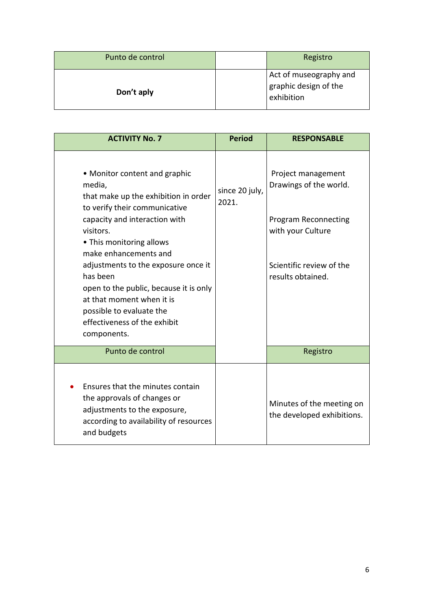| Punto de control | Registro                                                      |
|------------------|---------------------------------------------------------------|
| Don't aply       | Act of museography and<br>graphic design of the<br>exhibition |

| <b>ACTIVITY No. 7</b>                                                                                                                                                                                                                                                                                                                                                                                                    | <b>Period</b>           | <b>RESPONSABLE</b>                                                                                                                                |
|--------------------------------------------------------------------------------------------------------------------------------------------------------------------------------------------------------------------------------------------------------------------------------------------------------------------------------------------------------------------------------------------------------------------------|-------------------------|---------------------------------------------------------------------------------------------------------------------------------------------------|
| • Monitor content and graphic<br>media,<br>that make up the exhibition in order<br>to verify their communicative<br>capacity and interaction with<br>visitors.<br>• This monitoring allows<br>make enhancements and<br>adjustments to the exposure once it<br>has been<br>open to the public, because it is only<br>at that moment when it is<br>possible to evaluate the<br>effectiveness of the exhibit<br>components. | since 20 july,<br>2021. | Project management<br>Drawings of the world.<br><b>Program Reconnecting</b><br>with your Culture<br>Scientific review of the<br>results obtained. |
| Punto de control                                                                                                                                                                                                                                                                                                                                                                                                         |                         | Registro                                                                                                                                          |
| Ensures that the minutes contain<br>the approvals of changes or<br>adjustments to the exposure,<br>according to availability of resources<br>and budgets                                                                                                                                                                                                                                                                 |                         | Minutes of the meeting on<br>the developed exhibitions.                                                                                           |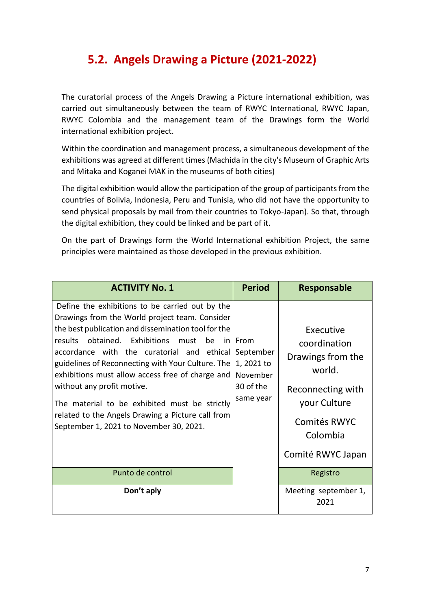#### **5.2. Angels Drawing a Picture (2021-2022)**

The curatorial process of the Angels Drawing a Picture international exhibition, was carried out simultaneously between the team of RWYC International, RWYC Japan, RWYC Colombia and the management team of the Drawings form the World international exhibition project.

Within the coordination and management process, a simultaneous development of the exhibitions was agreed at different times (Machida in the city's Museum of Graphic Arts and Mitaka and Koganei MAK in the museums of both cities)

The digital exhibition would allow the participation of the group of participants from the countries of Bolivia, Indonesia, Peru and Tunisia, who did not have the opportunity to send physical proposals by mail from their countries to Tokyo-Japan). So that, through the digital exhibition, they could be linked and be part of it.

On the part of Drawings form the World International exhibition Project, the same principles were maintained as those developed in the previous exhibition.

| <b>ACTIVITY No. 1</b>                                                                                                                                                                                                                                                                                                                                                                                                                                                                                                                                          | <b>Period</b>                                                            | Responsable                                                                                                                                                |
|----------------------------------------------------------------------------------------------------------------------------------------------------------------------------------------------------------------------------------------------------------------------------------------------------------------------------------------------------------------------------------------------------------------------------------------------------------------------------------------------------------------------------------------------------------------|--------------------------------------------------------------------------|------------------------------------------------------------------------------------------------------------------------------------------------------------|
| Define the exhibitions to be carried out by the<br>Drawings from the World project team. Consider<br>the best publication and dissemination tool for the<br>results obtained. Exhibitions must<br>be<br>accordance with the curatorial and ethical<br>guidelines of Reconnecting with Your Culture. The<br>exhibitions must allow access free of charge and<br>without any profit motive.<br>The material to be exhibited must be strictly<br>related to the Angels Drawing a Picture call from<br>September 1, 2021 to November 30, 2021.<br>Punto de control | in From<br>September<br>1, 2021 to<br>November<br>30 of the<br>same year | Executive<br>coordination<br>Drawings from the<br>world.<br>Reconnecting with<br>your Culture<br>Comités RWYC<br>Colombia<br>Comité RWYC Japan<br>Registro |
|                                                                                                                                                                                                                                                                                                                                                                                                                                                                                                                                                                |                                                                          |                                                                                                                                                            |
| Don't aply                                                                                                                                                                                                                                                                                                                                                                                                                                                                                                                                                     |                                                                          | Meeting september 1,<br>2021                                                                                                                               |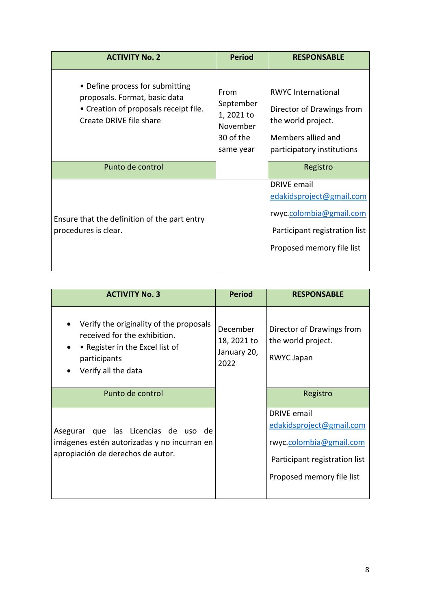| <b>ACTIVITY No. 2</b>                                                                                                                | <b>Period</b>                                                         | <b>RESPONSABLE</b>                                                                                                                      |
|--------------------------------------------------------------------------------------------------------------------------------------|-----------------------------------------------------------------------|-----------------------------------------------------------------------------------------------------------------------------------------|
| • Define process for submitting<br>proposals. Format, basic data<br>• Creation of proposals receipt file.<br>Create DRIVE file share | From<br>September<br>1, 2021 to<br>November<br>30 of the<br>same year | <b>RWYC International</b><br>Director of Drawings from<br>the world project.<br>Members allied and<br>participatory institutions        |
| Punto de control                                                                                                                     |                                                                       | Registro                                                                                                                                |
| Ensure that the definition of the part entry<br>procedures is clear.                                                                 |                                                                       | <b>DRIVE</b> email<br>edakidsproject@gmail.com<br>rwyc.colombia@gmail.com<br>Participant registration list<br>Proposed memory file list |

| <b>ACTIVITY No. 3</b>                                                                                                                             | <b>Period</b>                                         | <b>RESPONSABLE</b>                                                                                                               |
|---------------------------------------------------------------------------------------------------------------------------------------------------|-------------------------------------------------------|----------------------------------------------------------------------------------------------------------------------------------|
| Verify the originality of the proposals<br>received for the exhibition.<br>• Register in the Excel list of<br>participants<br>Verify all the data | <b>December</b><br>18, 2021 to<br>January 20,<br>2022 | Director of Drawings from<br>the world project.<br>RWYC Japan                                                                    |
| Punto de control                                                                                                                                  |                                                       | Registro                                                                                                                         |
| que las Licencias de uso de<br>Asegurar<br>imágenes estén autorizadas y no incurran en<br>apropiación de derechos de autor.                       |                                                       | DRIVE email<br>edakidsproject@gmail.com<br>rwyc.colombia@gmail.com<br>Participant registration list<br>Proposed memory file list |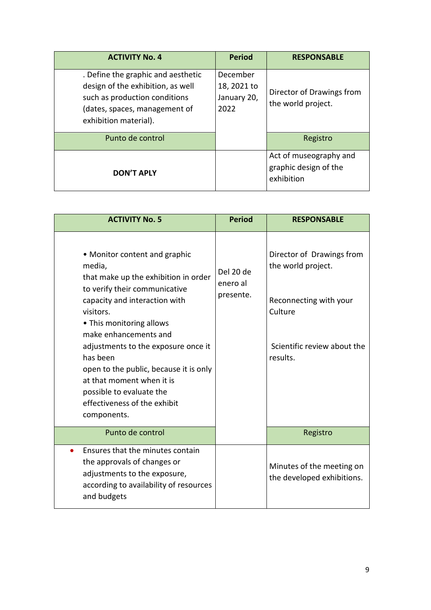| <b>ACTIVITY No. 4</b>                                                                                                                                              | <b>Period</b>                                  | <b>RESPONSABLE</b>                                            |
|--------------------------------------------------------------------------------------------------------------------------------------------------------------------|------------------------------------------------|---------------------------------------------------------------|
| . Define the graphic and aesthetic<br>design of the exhibition, as well<br>such as production conditions<br>(dates, spaces, management of<br>exhibition material). | December<br>18, 2021 to<br>January 20,<br>2022 | Director of Drawings from<br>the world project.               |
| Punto de control                                                                                                                                                   |                                                | Registro                                                      |
| <b>DON'T APLY</b>                                                                                                                                                  |                                                | Act of museography and<br>graphic design of the<br>exhibition |

| <b>ACTIVITY No. 5</b>                                                                                                                                                                                                                                                                                                                                                                                                    | <b>Period</b>                      | <b>RESPONSABLE</b>                                                                                                              |
|--------------------------------------------------------------------------------------------------------------------------------------------------------------------------------------------------------------------------------------------------------------------------------------------------------------------------------------------------------------------------------------------------------------------------|------------------------------------|---------------------------------------------------------------------------------------------------------------------------------|
| • Monitor content and graphic<br>media,<br>that make up the exhibition in order<br>to verify their communicative<br>capacity and interaction with<br>visitors.<br>• This monitoring allows<br>make enhancements and<br>adjustments to the exposure once it<br>has been<br>open to the public, because it is only<br>at that moment when it is<br>possible to evaluate the<br>effectiveness of the exhibit<br>components. | Del 20 de<br>enero al<br>presente. | Director of Drawings from<br>the world project.<br>Reconnecting with your<br>Culture<br>Scientific review about the<br>results. |
| Punto de control                                                                                                                                                                                                                                                                                                                                                                                                         |                                    | Registro                                                                                                                        |
| Ensures that the minutes contain<br>the approvals of changes or<br>adjustments to the exposure,<br>according to availability of resources<br>and budgets                                                                                                                                                                                                                                                                 |                                    | Minutes of the meeting on<br>the developed exhibitions.                                                                         |